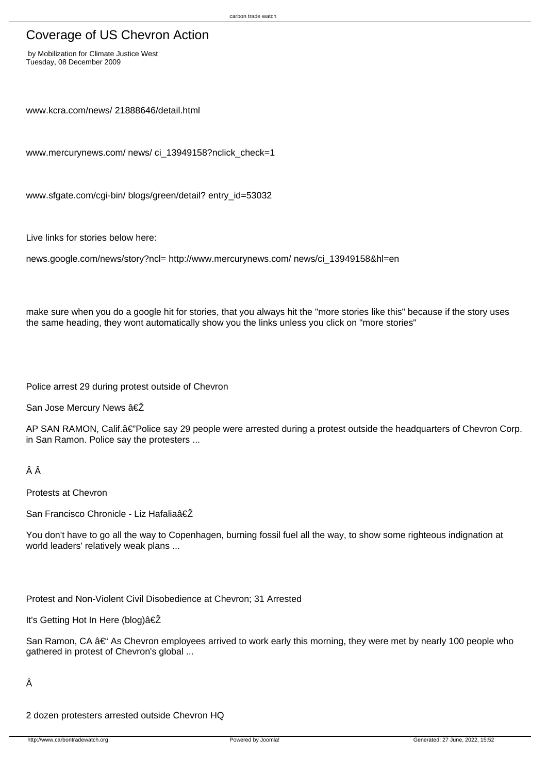# Coverage of US Chevron Action

 by Mobilization for Climate Justice West Tuesday, 08 December 2009

www.kcra.com/news/ 21888646/detail.html

www.mercurynews.com/ news/ ci\_13949158?nclick\_check=1

www.sfgate.com/cgi-bin/ blogs/green/detail? entry\_id=53032

Live links for stories below here:

news.google.com/news/story?ncl= http://www.mercurynews.com/ news/ci\_13949158&hl=en

make sure when you do a google hit for stories, that you always hit the "more stories like this" because if the story uses the same heading, they wont automatically show you the links unless you click on "more stories"

Police arrest 29 during protest outside of Chevron

San Jose Mercury News ‎

AP SAN RAMON, Calif.  $\hat{A} \in \mathbb{C}^n$ Police say 29 people were arrested during a protest outside the headquarters of Chevron Corp. in San Ramon. Police say the protesters ...

## ÂÂ

Protests at Chevron

San Francisco Chronicle - Liz Hafalia‎

You don't have to go all the way to Copenhagen, burning fossil fuel all the way, to show some righteous indignation at world leaders' relatively weak plans ...

Protest and Non-Violent Civil Disobedience at Chevron; 31 Arrested

It's Getting Hot In Here (blog)‎

San Ramon, CA  $\hat{a} \in \hat{a}$  As Chevron employees arrived to work early this morning, they were met by nearly 100 people who gathered in protest of Chevron's global ...

Â

2 dozen protesters arrested outside Chevron HQ